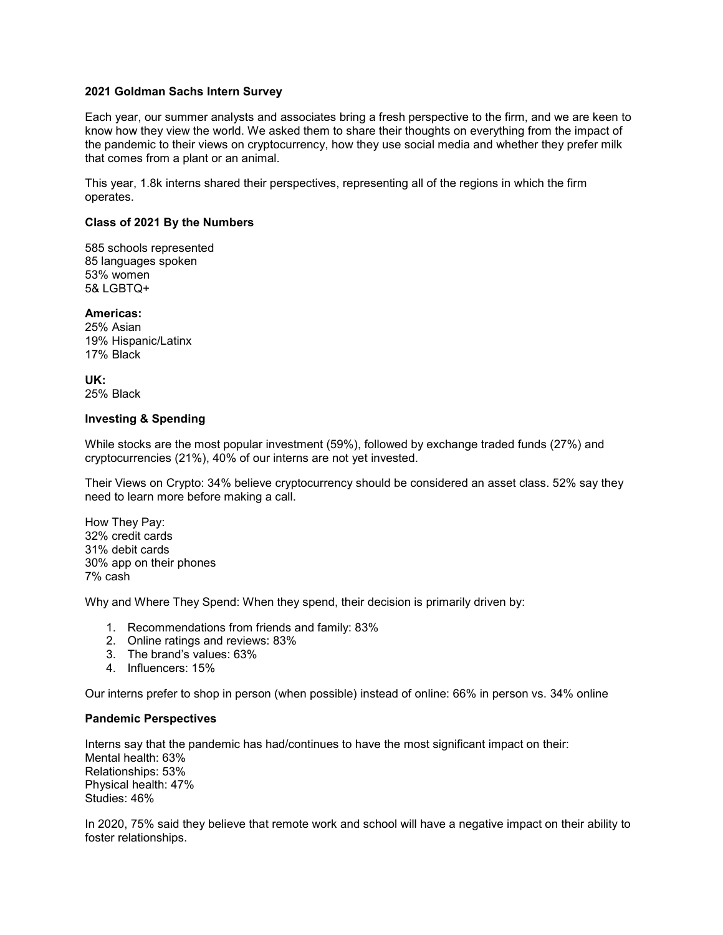### **2021 Goldman Sachs Intern Survey**

Each year, our summer analysts and associates bring a fresh perspective to the firm, and we are keen to know how they view the world. We asked them to share their thoughts on everything from the impact of the pandemic to their views on cryptocurrency, how they use social media and whether they prefer milk that comes from a plant or an animal.

This year, 1.8k interns shared their perspectives, representing all of the regions in which the firm operates.

### **Class of 2021 By the Numbers**

585 schools represented 85 languages spoken 53% women 5& LGBTQ+

**Americas:** 25% Asian 19% Hispanic/Latinx 17% Black

**UK:** 25% Black

### **Investing & Spending**

While stocks are the most popular investment (59%), followed by exchange traded funds (27%) and cryptocurrencies (21%), 40% of our interns are not yet invested.

Their Views on Crypto: 34% believe cryptocurrency should be considered an asset class. 52% say they need to learn more before making a call.

How They Pay: 32% credit cards 31% debit cards 30% app on their phones 7% cash

Why and Where They Spend: When they spend, their decision is primarily driven by:

- 1. Recommendations from friends and family: 83%
- 2. Online ratings and reviews: 83%
- 3. The brand's values: 63%
- 4. Influencers: 15%

Our interns prefer to shop in person (when possible) instead of online: 66% in person vs. 34% online

#### **Pandemic Perspectives**

Interns say that the pandemic has had/continues to have the most significant impact on their: Mental health: 63% Relationships: 53% Physical health: 47% Studies: 46%

In 2020, 75% said they believe that remote work and school will have a negative impact on their ability to foster relationships.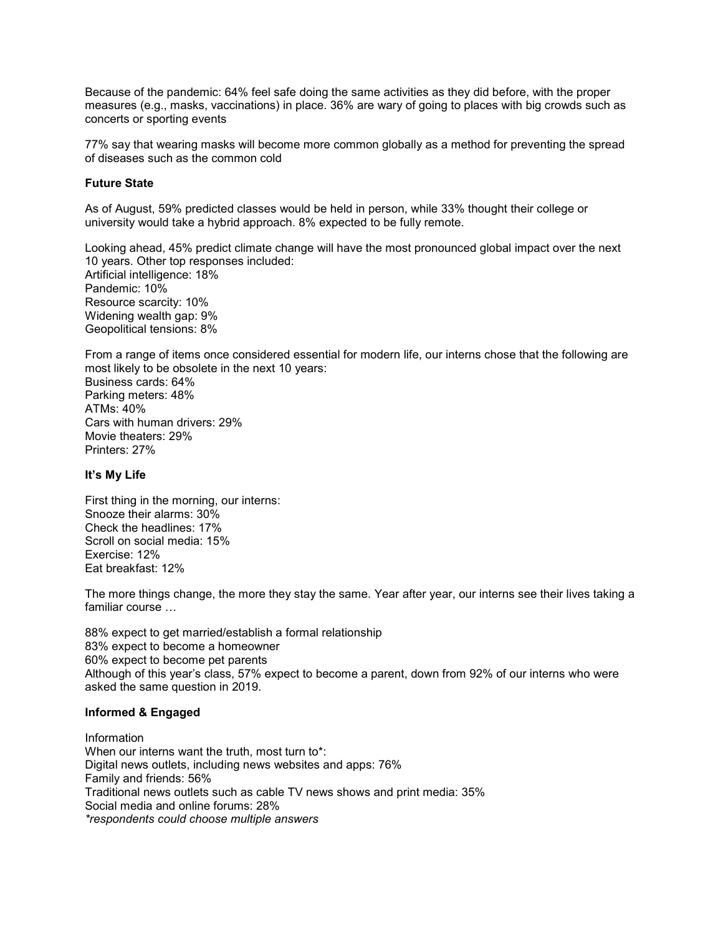Because of the pandemic: 64% feel safe doing the same activities as they did before, with the proper measures (e.g., masks, vaccinations) in place. 36% are wary of going to places with big crowds such as concerts or sporting events

77% say that wearing masks will become more common globally as a method for preventing the spread of diseases such as the common cold

### **Future State**

As of August, 59% predicted classes would be held in person, while 33% thought their college or university would take a hybrid approach. 8% expected to be fully remote.

Looking ahead, 45% predict climate change will have the most pronounced global impact over the next 10 years. Other top responses included: Artificial intelligence: 18% Pandemic: 10% Resource scarcity: 10% Widening wealth gap: 9% Geopolitical tensions: 8%

From a range of items once considered essential for modern life, our interns chose that the following are most likely to be obsolete in the next 10 years: Business cards: 64% Parking meters: 48% ATMs: 40% Cars with human drivers: 29% Movie theaters: 29% Printers: 27%

# **It's My Life**

First thing in the morning, our interns: Snooze their alarms: 30% Check the headlines: 17% Scroll on social media: 15% Exercise: 12% Eat breakfast: 12%

The more things change, the more they stay the same. Year after year, our interns see their lives taking a familiar course …

88% expect to get married/establish a formal relationship 83% expect to become a homeowner 60% expect to become pet parents Although of this year's class, 57% expect to become a parent, down from 92% of our interns who were asked the same question in 2019.

#### **Informed & Engaged**

Information When our interns want the truth, most turn to\*: Digital news outlets, including news websites and apps: 76% Family and friends: 56% Traditional news outlets such as cable TV news shows and print media: 35% Social media and online forums: 28% *\*respondents could choose multiple answers*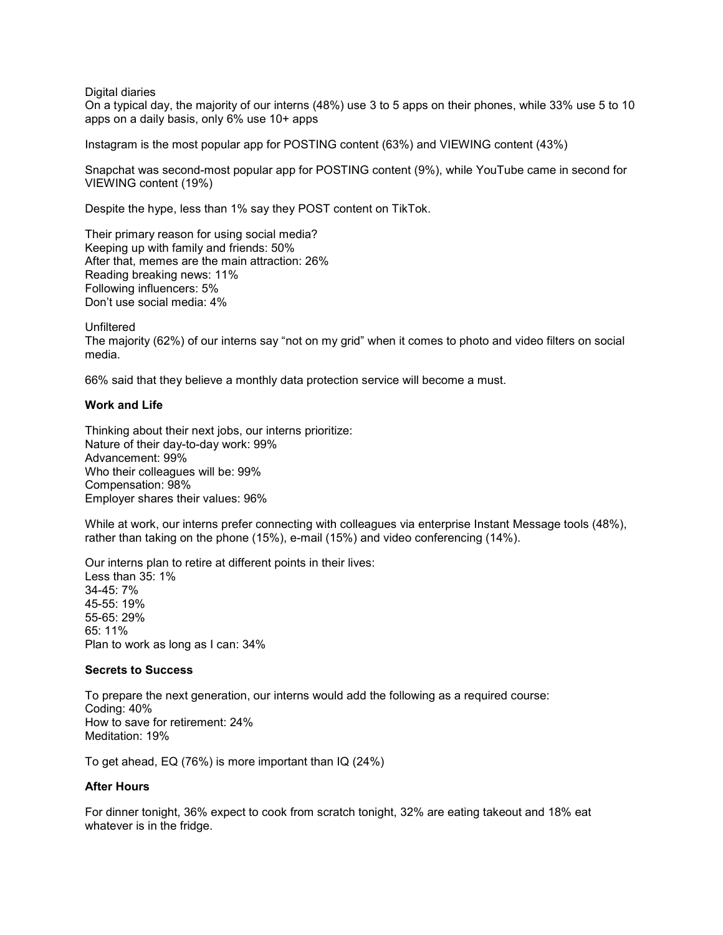#### Digital diaries

On a typical day, the majority of our interns (48%) use 3 to 5 apps on their phones, while 33% use 5 to 10 apps on a daily basis, only 6% use 10+ apps

Instagram is the most popular app for POSTING content (63%) and VIEWING content (43%)

Snapchat was second-most popular app for POSTING content (9%), while YouTube came in second for VIEWING content (19%)

Despite the hype, less than 1% say they POST content on TikTok.

Their primary reason for using social media? Keeping up with family and friends: 50% After that, memes are the main attraction: 26% Reading breaking news: 11% Following influencers: 5% Don't use social media: 4%

Unfiltered

The majority (62%) of our interns say "not on my grid" when it comes to photo and video filters on social media.

66% said that they believe a monthly data protection service will become a must.

#### **Work and Life**

Thinking about their next jobs, our interns prioritize: Nature of their day-to-day work: 99% Advancement: 99% Who their colleagues will be: 99% Compensation: 98% Employer shares their values: 96%

While at work, our interns prefer connecting with colleagues via enterprise Instant Message tools (48%), rather than taking on the phone (15%), e-mail (15%) and video conferencing (14%).

Our interns plan to retire at different points in their lives: Less than 35: 1% 34-45: 7% 45-55: 19% 55-65: 29% 65: 11% Plan to work as long as I can: 34%

#### **Secrets to Success**

To prepare the next generation, our interns would add the following as a required course: Coding: 40% How to save for retirement: 24% Meditation: 19%

To get ahead, EQ (76%) is more important than IQ (24%)

# **After Hours**

For dinner tonight, 36% expect to cook from scratch tonight, 32% are eating takeout and 18% eat whatever is in the fridge.